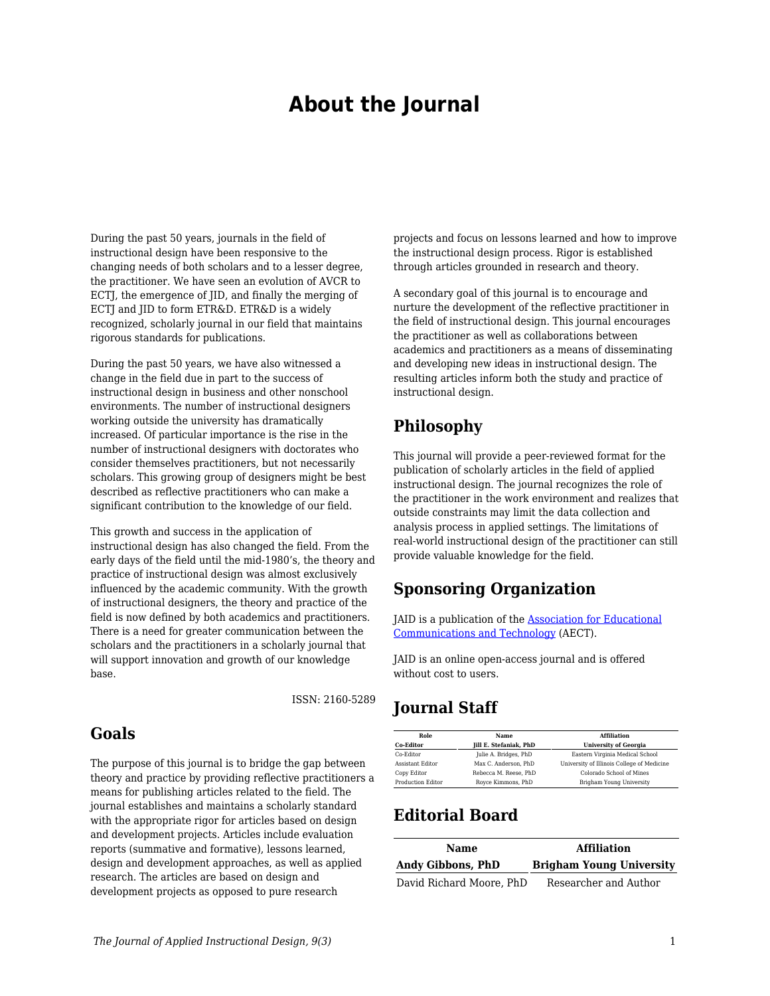# **About the Journal**

During the past 50 years, journals in the field of instructional design have been responsive to the changing needs of both scholars and to a lesser degree, the practitioner. We have seen an evolution of AVCR to ECTJ, the emergence of JID, and finally the merging of ECTI and IID to form ETR&D. ETR&D is a widely recognized, scholarly journal in our field that maintains rigorous standards for publications.

During the past 50 years, we have also witnessed a change in the field due in part to the success of instructional design in business and other nonschool environments. The number of instructional designers working outside the university has dramatically increased. Of particular importance is the rise in the number of instructional designers with doctorates who consider themselves practitioners, but not necessarily scholars. This growing group of designers might be best described as reflective practitioners who can make a significant contribution to the knowledge of our field.

This growth and success in the application of instructional design has also changed the field. From the early days of the field until the mid-1980's, the theory and practice of instructional design was almost exclusively influenced by the academic community. With the growth of instructional designers, the theory and practice of the field is now defined by both academics and practitioners. There is a need for greater communication between the scholars and the practitioners in a scholarly journal that will support innovation and growth of our knowledge base.

ISSN: 2160-5289

### **Goals**

The purpose of this journal is to bridge the gap between theory and practice by providing reflective practitioners a means for publishing articles related to the field. The journal establishes and maintains a scholarly standard with the appropriate rigor for articles based on design and development projects. Articles include evaluation reports (summative and formative), lessons learned, design and development approaches, as well as applied research. The articles are based on design and development projects as opposed to pure research

projects and focus on lessons learned and how to improve the instructional design process. Rigor is established through articles grounded in research and theory.

A secondary goal of this journal is to encourage and nurture the development of the reflective practitioner in the field of instructional design. This journal encourages the practitioner as well as collaborations between academics and practitioners as a means of disseminating and developing new ideas in instructional design. The resulting articles inform both the study and practice of instructional design.

### **Philosophy**

This journal will provide a peer-reviewed format for the publication of scholarly articles in the field of applied instructional design. The journal recognizes the role of the practitioner in the work environment and realizes that outside constraints may limit the data collection and analysis process in applied settings. The limitations of real-world instructional design of the practitioner can still provide valuable knowledge for the field.

### **Sponsoring Organization**

JAID is a publication of the [Association for Educational](https://www.aect.org/) [Communications and Technology](https://www.aect.org/) (AECT).

JAID is an online open-access journal and is offered without cost to users.

## **Journal Staff**

| Role                     | Name                   | <b>Affiliation</b>                         |
|--------------------------|------------------------|--------------------------------------------|
| <b>Co-Editor</b>         | Jill E. Stefaniak, PhD | <b>University of Georgia</b>               |
| Co-Editor                | Julie A. Bridges, PhD  | Eastern Virginia Medical School            |
| <b>Assistant Editor</b>  | Max C. Anderson. PhD   | University of Illinois College of Medicine |
| Copy Editor              | Rebecca M. Reese. PhD  | Colorado School of Mines                   |
| <b>Production Editor</b> | Rovce Kimmons, PhD     | Brigham Young University                   |

## **Editorial Board**

| Name                     | <b>Affiliation</b>              |
|--------------------------|---------------------------------|
| <b>Andy Gibbons, PhD</b> | <b>Brigham Young University</b> |
| David Richard Moore, PhD | Researcher and Author           |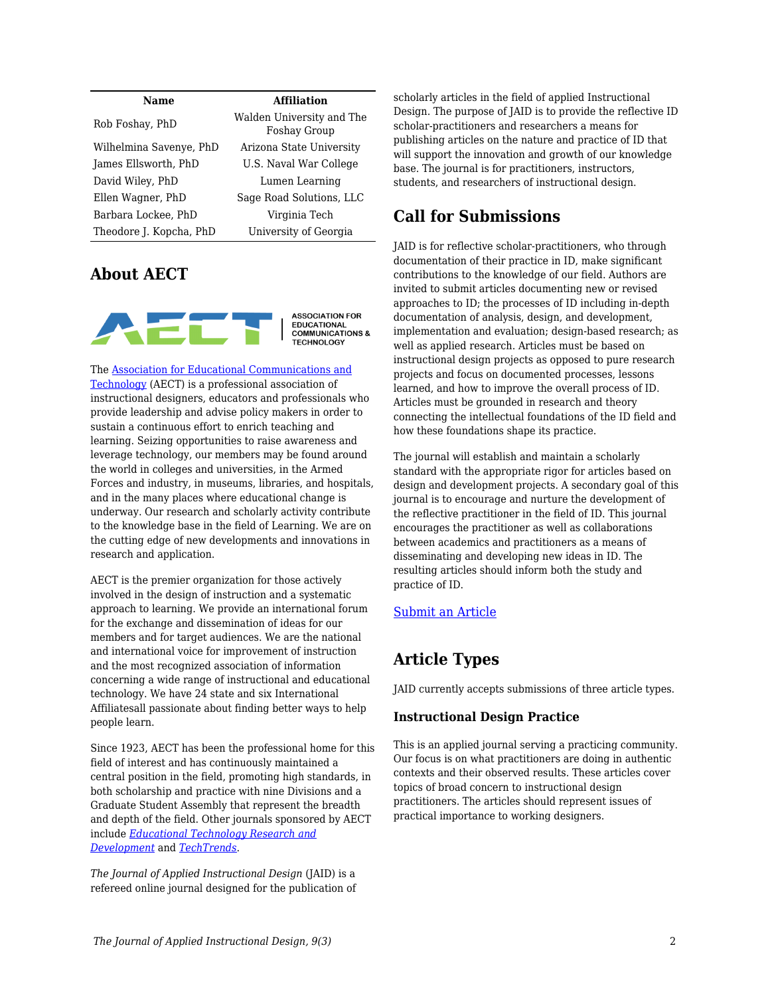| <b>Name</b>             | <b>Affiliation</b>                               |
|-------------------------|--------------------------------------------------|
| Rob Foshay, PhD         | Walden University and The<br><b>Foshay Group</b> |
| Wilhelmina Savenye, PhD | Arizona State University                         |
| James Ellsworth, PhD    | U.S. Naval War College                           |
| David Wiley, PhD        | Lumen Learning                                   |
| Ellen Wagner, PhD       | Sage Road Solutions, LLC                         |
| Barbara Lockee, PhD     | Virginia Tech                                    |
| Theodore J. Kopcha, PhD | University of Georgia                            |

### **About AECT**



**ASSOCIATION FOR** EDUCATIONAL<br>COMMUNICATIONS & **TECHNOLOGY** 

The [Association for Educational Communications and](https://www.aect.org/) [Technology](https://www.aect.org/) (AECT) is a professional association of instructional designers, educators and professionals who provide leadership and advise policy makers in order to sustain a continuous effort to enrich teaching and learning. Seizing opportunities to raise awareness and leverage technology, our members may be found around the world in colleges and universities, in the Armed Forces and industry, in museums, libraries, and hospitals, and in the many places where educational change is underway. Our research and scholarly activity contribute to the knowledge base in the field of Learning. We are on the cutting edge of new developments and innovations in research and application.

AECT is the premier organization for those actively involved in the design of instruction and a systematic approach to learning. We provide an international forum for the exchange and dissemination of ideas for our members and for target audiences. We are the national and international voice for improvement of instruction and the most recognized association of information concerning a wide range of instructional and educational technology. We have 24 state and six International Affiliatesall passionate about finding better ways to help people learn.

Since 1923, AECT has been the professional home for this field of interest and has continuously maintained a central position in the field, promoting high standards, in both scholarship and practice with nine Divisions and a Graduate Student Assembly that represent the breadth and depth of the field. Other journals sponsored by AECT include *[Educational Technology Research and](https://www.springer.com/journal/11423) [Development](https://www.springer.com/journal/11423)* and *[TechTrends](https://www.springer.com/journal/11528)*.

*The Journal of Applied Instructional Design* (JAID) is a refereed online journal designed for the publication of scholarly articles in the field of applied Instructional Design. The purpose of JAID is to provide the reflective ID scholar-practitioners and researchers a means for publishing articles on the nature and practice of ID that will support the innovation and growth of our knowledge base. The journal is for practitioners, instructors, students, and researchers of instructional design.

## **Call for Submissions**

JAID is for reflective scholar-practitioners, who through documentation of their practice in ID, make significant contributions to the knowledge of our field. Authors are invited to submit articles documenting new or revised approaches to ID; the processes of ID including in-depth documentation of analysis, design, and development, implementation and evaluation; design-based research; as well as applied research. Articles must be based on instructional design projects as opposed to pure research projects and focus on documented processes, lessons learned, and how to improve the overall process of ID. Articles must be grounded in research and theory connecting the intellectual foundations of the ID field and how these foundations shape its practice.

The journal will establish and maintain a scholarly standard with the appropriate rigor for articles based on design and development projects. A secondary goal of this journal is to encourage and nurture the development of the reflective practitioner in the field of ID. This journal encourages the practitioner as well as collaborations between academics and practitioners as a means of disseminating and developing new ideas in ID. The resulting articles should inform both the study and practice of ID.

#### [Submit an Article](https://docs.google.com/forms/d/e/1FAIpQLSdetYatKzxU7poSBjfLgKIJ-cXUT5aFDj7XVADK4B-pZTSNRQ/viewform)

## **Article Types**

JAID currently accepts submissions of three article types.

#### **Instructional Design Practice**

This is an applied journal serving a practicing community. Our focus is on what practitioners are doing in authentic contexts and their observed results. These articles cover topics of broad concern to instructional design practitioners. The articles should represent issues of practical importance to working designers.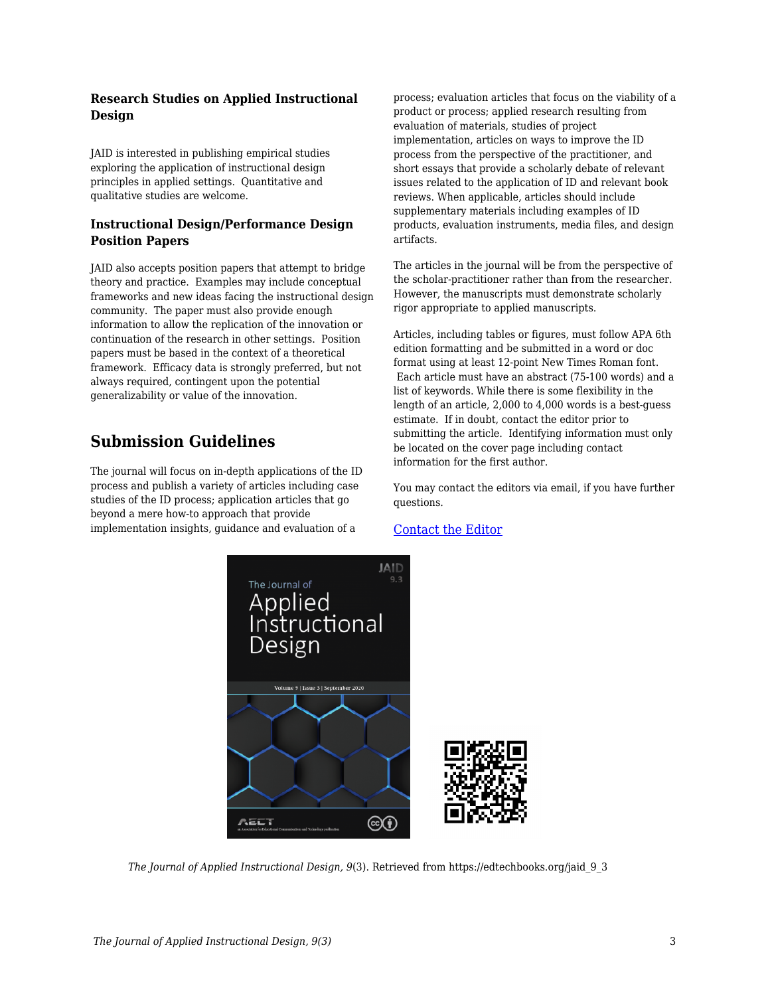#### **Research Studies on Applied Instructional Design**

JAID is interested in publishing empirical studies exploring the application of instructional design principles in applied settings. Quantitative and qualitative studies are welcome.

#### **Instructional Design/Performance Design Position Papers**

JAID also accepts position papers that attempt to bridge theory and practice. Examples may include conceptual frameworks and new ideas facing the instructional design community. The paper must also provide enough information to allow the replication of the innovation or continuation of the research in other settings. Position papers must be based in the context of a theoretical framework. Efficacy data is strongly preferred, but not always required, contingent upon the potential generalizability or value of the innovation.

## **Submission Guidelines**

The journal will focus on in-depth applications of the ID process and publish a variety of articles including case studies of the ID process; application articles that go beyond a mere how-to approach that provide implementation insights, guidance and evaluation of a

process; evaluation articles that focus on the viability of a product or process; applied research resulting from evaluation of materials, studies of project implementation, articles on ways to improve the ID process from the perspective of the practitioner, and short essays that provide a scholarly debate of relevant issues related to the application of ID and relevant book reviews. When applicable, articles should include supplementary materials including examples of ID products, evaluation instruments, media files, and design artifacts.

The articles in the journal will be from the perspective of the scholar-practitioner rather than from the researcher. However, the manuscripts must demonstrate scholarly rigor appropriate to applied manuscripts.

Articles, including tables or figures, must follow APA 6th edition formatting and be submitted in a word or doc format using at least 12-point New Times Roman font. Each article must have an abstract (75-100 words) and a list of keywords. While there is some flexibility in the length of an article, 2,000 to 4,000 words is a best-guess estimate. If in doubt, contact the editor prior to submitting the article. Identifying information must only be located on the cover page including contact information for the first author.

You may contact the editors via email, if you have further questions.

#### [Contact the Editor](mailto:jill.stefaniak@uga.edu?subject=JAID%20Question)



*The Journal of Applied Instructional Design, 9*(3). Retrieved from https://edtechbooks.org/jaid\_9\_3